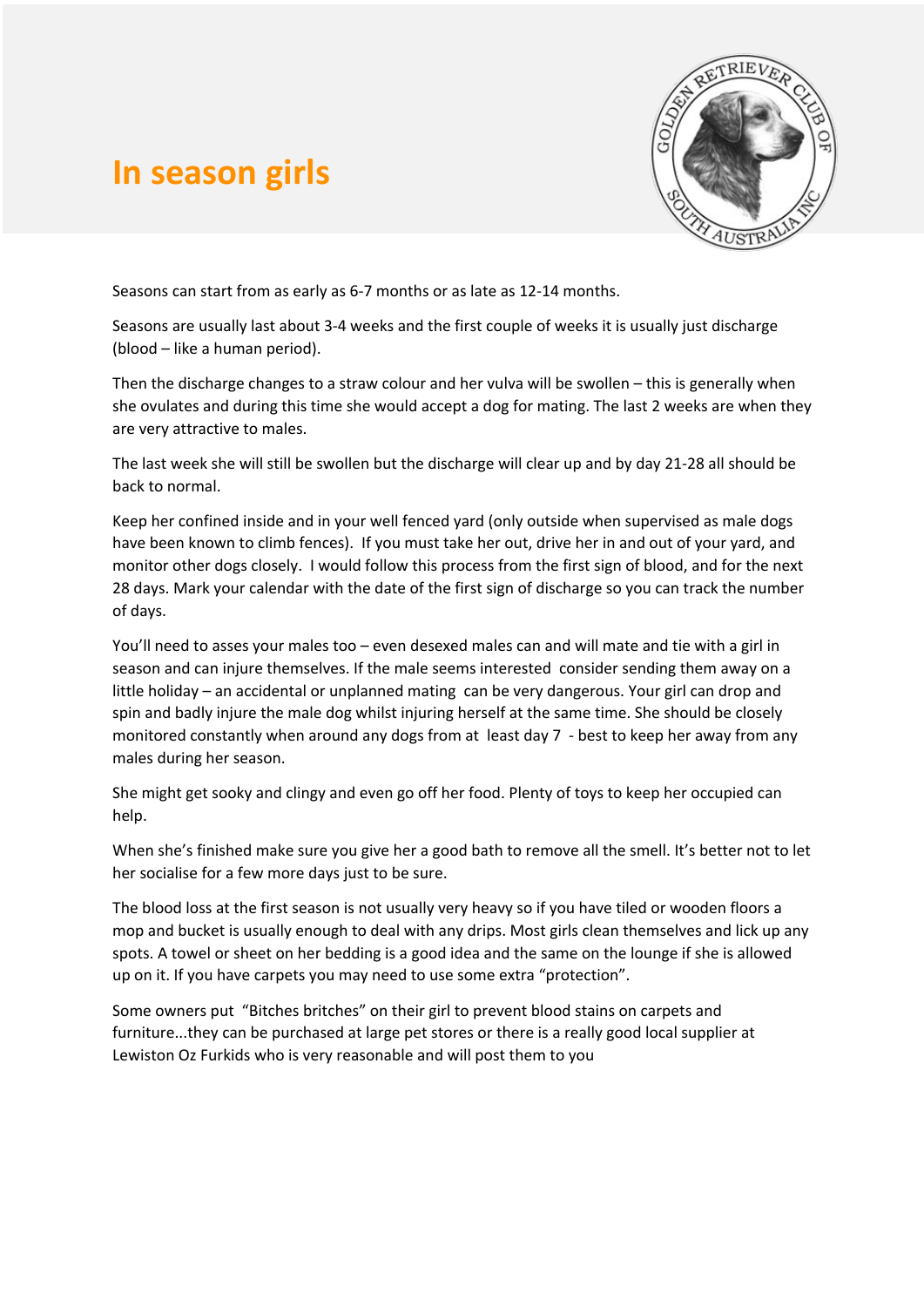## **In season girls**



Seasons can start from as early as 6-7 months or as late as 12-14 months.

Seasons are usually last about 3-4 weeks and the first couple of weeks it is usually just discharge (blood – like a human period).

Then the discharge changes to a straw colour and her vulva will be swollen – this is generally when she ovulates and during this time she would accept a dog for mating. The last 2 weeks are when they are very attractive to males.

The last week she will still be swollen but the discharge will clear up and by day 21-28 all should be back to normal.

Keep her confined inside and in your well fenced yard (only outside when supervised as male dogs have been known to climb fences). If you must take her out, drive her in and out of your yard, and monitor other dogs closely. I would follow this process from the first sign of blood, and for the next 28 days. Mark your calendar with the date of the first sign of discharge so you can track the number of days.

You'll need to asses your males too – even desexed males can and will mate and tie with a girl in season and can injure themselves. If the male seems interested consider sending them away on a little holiday – an accidental or unplanned mating can be very dangerous. Your girl can drop and spin and badly injure the male dog whilst injuring herself at the same time. She should be closely monitored constantly when around any dogs from at least day 7 - best to keep her away from any males during her season.

She might get sooky and clingy and even go off her food. Plenty of toys to keep her occupied can help.

When she's finished make sure you give her a good bath to remove all the smell. It's better not to let her socialise for a few more days just to be sure.

The blood loss at the first season is not usually very heavy so if you have tiled or wooden floors a mop and bucket is usually enough to deal with any drips. Most girls clean themselves and lick up any spots. A towel or sheet on her bedding is a good idea and the same on the lounge if she is allowed up on it. If you have carpets you may need to use some extra "protection".

Some owners put "Bitches britches" on their girl to prevent blood stains on carpets and furniture...they can be purchased at large pet stores or there is a really good local supplier at Lewiston Oz Furkids who is very reasonable and will post them to you